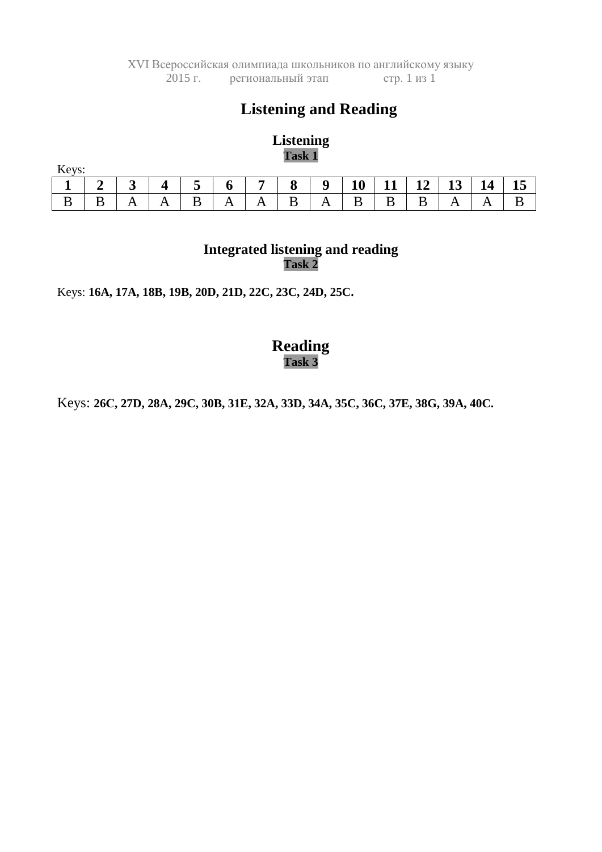# **Listening and Reading**

#### **Listening Task 1**

| Keys: |  |  |                        |  |   |   |   |          |    |   |                  |    |    |                      |
|-------|--|--|------------------------|--|---|---|---|----------|----|---|------------------|----|----|----------------------|
|       |  |  | $\boldsymbol{\Lambda}$ |  |   | - | 8 | $\bf{Q}$ | 10 |   | $12$   $\degree$ | 13 | 14 | $\blacksquare$<br>15 |
|       |  |  | Α                      |  | A | л | B | А        | R  | B | R                |    |    |                      |

#### **Integrated listening and reading Task 2**

Keys: **16A, 17A, 18B, 19B, 20D, 21D, 22C, 23C, 24D, 25C.**

### **Reading Task 3**

Keys: **26С, 27D, 28A, 29C, 30B, 31E, 32A, 33D, 34A, 35C, 36C, 37E, 38G, 39A, 40C.**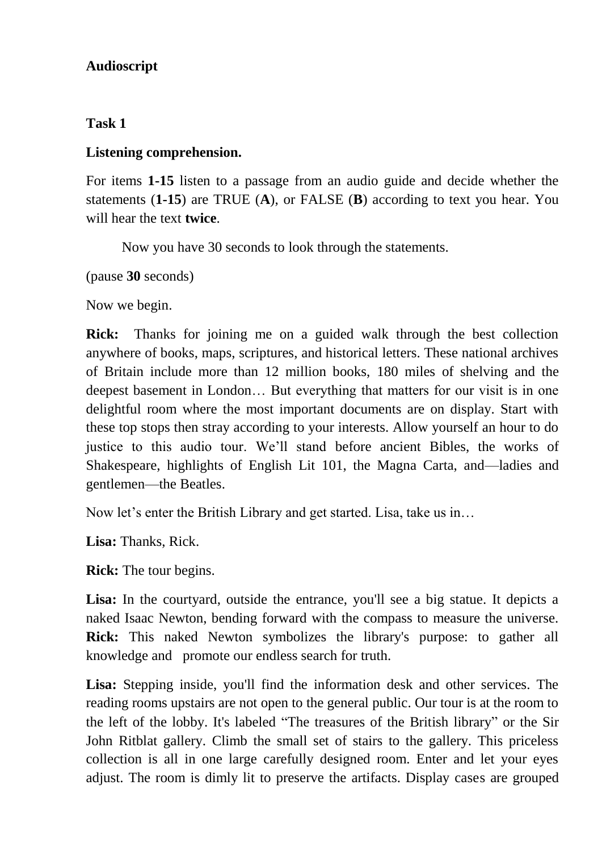## **Audioscript**

### **Task 1**

### **Listening comprehension.**

For items **1-15** listen to a passage from an audio guide and decide whether the statements (**1-15**) are TRUE (**A**), or FALSE (**B**) according to text you hear. You will hear the text **twice**.

Now you have 30 seconds to look through the statements.

(pause **30** seconds)

Now we begin.

**Rick:** Thanks for joining me on a guided walk through the best collection anywhere of books, maps, scriptures, and historical letters. These national archives of Britain include more than 12 million books, 180 miles of shelving and the deepest basement in London… But everything that matters for our visit is in one delightful room where the most important documents are on display. Start with these top stops then stray according to your interests. Allow yourself an hour to do justice to this audio tour. We'll stand before ancient Bibles, the works of Shakespeare, highlights of English Lit 101, the Magna Carta, and—ladies and gentlemen—the Beatles.

Now let's enter the British Library and get started. Lisa, take us in…

**Lisa:** Thanks, Rick.

**Rick:** The tour begins.

Lisa: In the courtyard, outside the entrance, you'll see a big statue. It depicts a naked Isaac Newton, bending forward with the compass to measure the universe. **Rick:** This naked Newton symbolizes the library's purpose: to gather all knowledge and promote our endless search for truth.

**Lisa:** Stepping inside, you'll find the information desk and other services. The reading rooms upstairs are not open to the general public. Our tour is at the room to the left of the lobby. It's labeled "The treasures of the British library" or the Sir John Ritblat gallery. Climb the small set of stairs to the gallery. This priceless collection is all in one large carefully designed room. Enter and let your eyes adjust. The room is dimly lit to preserve the artifacts. Display cases are grouped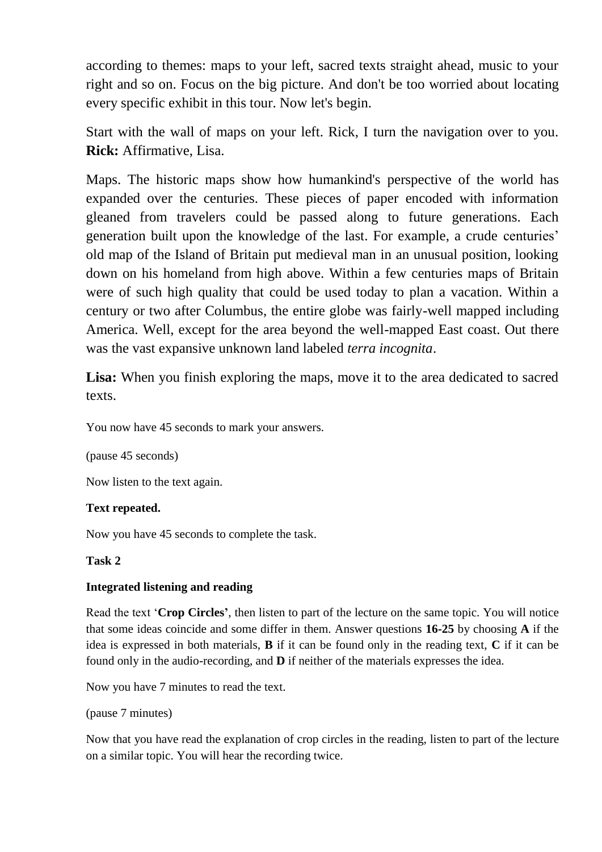according to themes: maps to your left, sacred texts straight ahead, music to your right and so on. Focus on the big picture. And don't be too worried about locating every specific exhibit in this tour. Now let's begin.

Start with the wall of maps on your left. Rick, I turn the navigation over to you. **Rick:** Affirmative, Lisa.

Maps. The historic maps show how humankind's perspective of the world has expanded over the centuries. These pieces of paper encoded with information gleaned from travelers could be passed along to future generations. Each generation built upon the knowledge of the last. For example, a crude centuries' old map of the Island of Britain put medieval man in an unusual position, looking down on his homeland from high above. Within a few centuries maps of Britain were of such high quality that could be used today to plan a vacation. Within a century or two after Columbus, the entire globe was fairly-well mapped including America. Well, except for the area beyond the well-mapped East coast. Out there was the vast expansive unknown land labeled *terra incognita*.

**Lisa:** When you finish exploring the maps, move it to the area dedicated to sacred texts.

You now have 45 seconds to mark your answers.

(pause 45 seconds)

Now listen to the text again.

#### **Text repeated.**

Now you have 45 seconds to complete the task.

#### **Task 2**

#### **Integrated listening and reading**

Read the text '**Crop Circles'**, then listen to part of the lecture on the same topic. You will notice that some ideas coincide and some differ in them. Answer questions **16-25** by choosing **A** if the idea is expressed in both materials, **B** if it can be found only in the reading text, **C** if it can be found only in the audio-recording, and **D** if neither of the materials expresses the idea.

Now you have 7 minutes to read the text.

(pause 7 minutes)

Now that you have read the explanation of crop circles in the reading, listen to part of the lecture on a similar topic. You will hear the recording twice.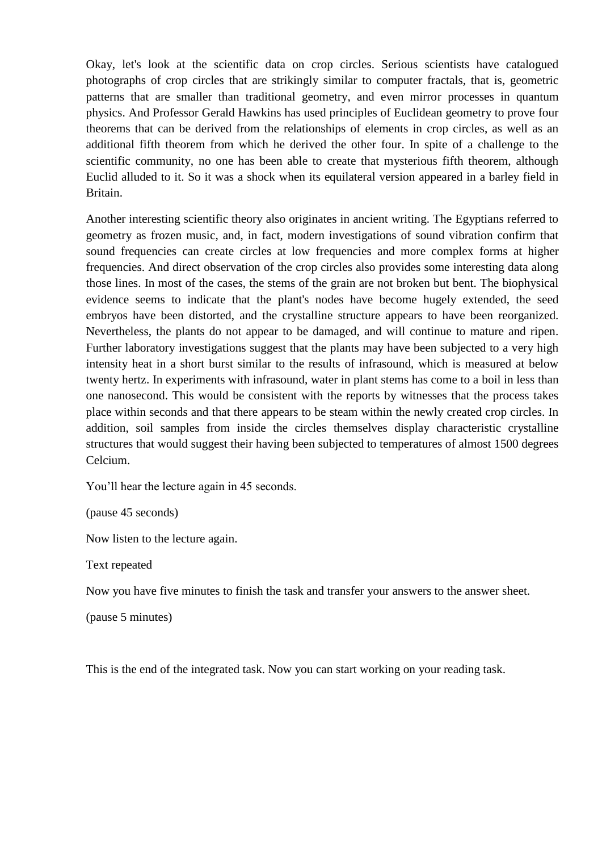Okay, let's look at the scientific data on crop circles. Serious scientists have catalogued photographs of crop circles that are strikingly similar to computer fractals, that is, geometric patterns that are smaller than traditional geometry, and even mirror processes in quantum physics. And Professor Gerald Hawkins has used principles of Euclidean geometry to prove four theorems that can be derived from the relationships of elements in crop circles, as well as an additional fifth theorem from which he derived the other four. In spite of a challenge to the scientific community, no one has been able to create that mysterious fifth theorem, although Euclid alluded to it. So it was a shock when its equilateral version appeared in a barley field in Britain.

Another interesting scientific theory also originates in ancient writing. The Egyptians referred to geometry as frozen music, and, in fact, modern investigations of sound vibration confirm that sound frequencies can create circles at low frequencies and more complex forms at higher frequencies. And direct observation of the crop circles also provides some interesting data along those lines. In most of the cases, the stems of the grain are not broken but bent. The biophysical evidence seems to indicate that the plant's nodes have become hugely extended, the seed embryos have been distorted, and the crystalline structure appears to have been reorganized. Nevertheless, the plants do not appear to be damaged, and will continue to mature and ripen. Further laboratory investigations suggest that the plants may have been subjected to a very high intensity heat in a short burst similar to the results of infrasound, which is measured at below twenty hertz. In experiments with infrasound, water in plant stems has come to a boil in less than one nanosecond. This would be consistent with the reports by witnesses that the process takes place within seconds and that there appears to be steam within the newly created crop circles. In addition, soil samples from inside the circles themselves display characteristic crystalline structures that would suggest their having been subjected to temperatures of almost 1500 degrees Celcium.

You'll hear the lecture again in 45 seconds.

(pause 45 seconds)

Now listen to the lecture again.

Text repeated

Now you have five minutes to finish the task and transfer your answers to the answer sheet.

(pause 5 minutes)

This is the end of the integrated task. Now you can start working on your reading task.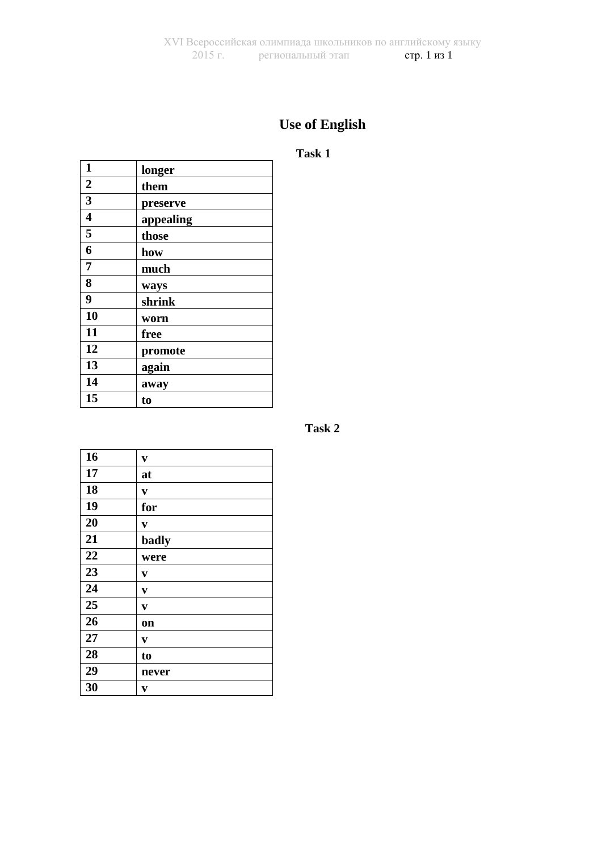# **Use of English**

#### **Task 1**

| $\mathbf{1}$            | longer    |
|-------------------------|-----------|
| $\overline{2}$          | them      |
| 3                       | preserve  |
| $\overline{\mathbf{4}}$ | appealing |
| 5                       | those     |
| 6                       | how       |
| 7                       | much      |
| 8                       | ways      |
| 9                       | shrink    |
| 10                      | worn      |
| 11                      | free      |
| 12                      | promote   |
| 13                      | again     |
| 14                      | away      |
| 15                      | to        |

|--|--|

| 16 | V            |
|----|--------------|
| 17 | at           |
| 18 | $\mathbf{v}$ |
| 19 | for          |
| 20 | $\mathbf{v}$ |
| 21 | badly        |
| 22 | were         |
| 23 | V            |
| 24 | V            |
| 25 | $\mathbf{v}$ |
| 26 | on           |
| 27 | $\mathbf{v}$ |
| 28 | to           |
| 29 | never        |
| 30 | V            |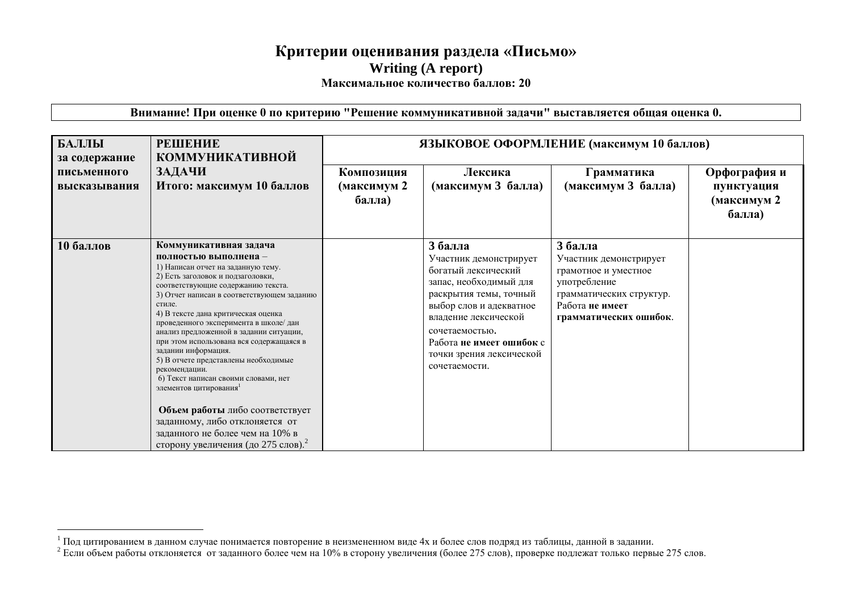### **Критерии оценивания раздела «Письмо» Writing (A report) Максимальное количество баллов: 20**

**Внимание! При оценке 0 по критерию "Решение коммуникативной задачи" выставляется общая оценка 0.**

| БАЛЛЫ<br>за содержание      | <b>РЕШЕНИЕ</b><br><b>КОММУНИКАТИВНОЙ</b>                                                                                                                                                                                                                                                                                                                                                                                                                                                                                                                                                                                                                                                       | ЯЗЫКОВОЕ ОФОРМЛЕНИЕ (максимум 10 баллов) |                                                                                                                                                                                                                                                            |                                                                                                                                                    |                                                     |  |  |  |
|-----------------------------|------------------------------------------------------------------------------------------------------------------------------------------------------------------------------------------------------------------------------------------------------------------------------------------------------------------------------------------------------------------------------------------------------------------------------------------------------------------------------------------------------------------------------------------------------------------------------------------------------------------------------------------------------------------------------------------------|------------------------------------------|------------------------------------------------------------------------------------------------------------------------------------------------------------------------------------------------------------------------------------------------------------|----------------------------------------------------------------------------------------------------------------------------------------------------|-----------------------------------------------------|--|--|--|
| письменного<br>высказывания | ЗАДАЧИ<br>Итого: максимум 10 баллов                                                                                                                                                                                                                                                                                                                                                                                                                                                                                                                                                                                                                                                            | Композиция<br>(максимум 2<br>балла)      | Лексика<br>(максимум 3 балла)                                                                                                                                                                                                                              | Грамматика<br>(максимум 3 балла)                                                                                                                   | Орфография и<br>пунктуация<br>(максимум 2<br>балла) |  |  |  |
| 10 баллов                   | Коммуникативная задача<br>полностью выполнена -<br>1) Написан отчет на заданную тему.<br>2) Есть заголовок и подзаголовки,<br>соответствующие содержанию текста.<br>3) Отчет написан в соответствующем заданию<br>стиле.<br>4) В тексте дана критическая оценка<br>проведенного эксперимента в школе/ дан<br>анализ предложенной в задании ситуации,<br>при этом использована вся содержащаяся в<br>задании информация.<br>5) В отчете представлены необходимые<br>рекомендации.<br>6) Текст написан своими словами, нет<br>элементов цитирования<br>Объем работы либо соответствует<br>заданному, либо отклоняется от<br>заданного не более чем на 10% в<br>сторону увеличения (до 275 слов). |                                          | 3 балла<br>Участник демонстрирует<br>богатый лексический<br>запас, необходимый для<br>раскрытия темы, точный<br>выбор слов и адекватное<br>владение лексической<br>сочетаемостью.<br>Работа не имеет ошибок с<br>точки зрения лексической<br>сочетаемости. | 3 балла<br>Участник демонстрирует<br>грамотное и уместное<br>употребление<br>грамматических структур.<br>Работа не имеет<br>грамматических ошибок. |                                                     |  |  |  |

 $^{\rm 1}$  Под цитированием в данном случае понимается повторение в неизмененном виде 4х и более слов подряд из таблицы, данной в задании.

 $^2$  Если объем работы отклоняется от заданного более чем на 10% в сторону увеличения (более 275 слов), проверке подлежат только первые 275 слов.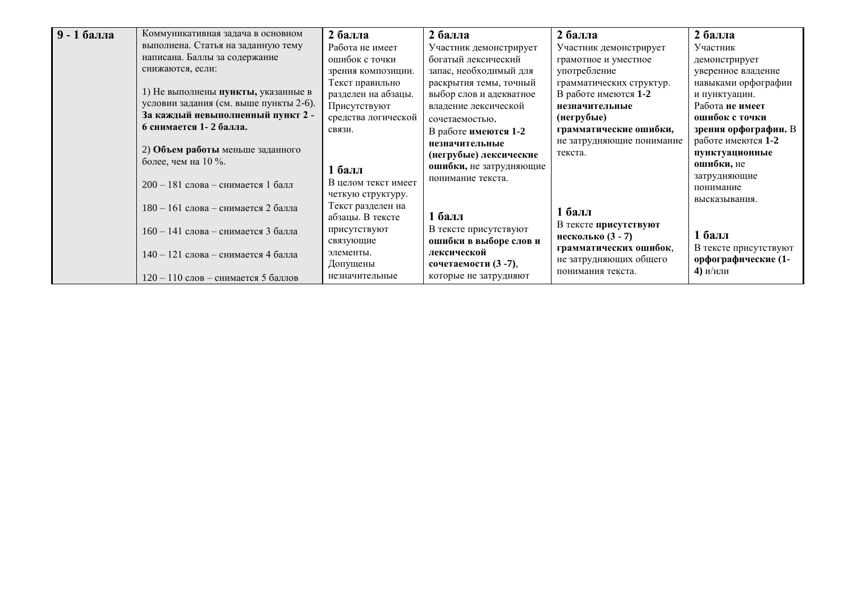| 9 - 1 балла | Коммуникативная задача в основном                                                             | 2 балла             | 2 балла                 | 2 балла                   | 2 балла               |
|-------------|-----------------------------------------------------------------------------------------------|---------------------|-------------------------|---------------------------|-----------------------|
|             | выполнена. Статья на заданную тему                                                            | Работа не имеет     | Участник демонстрирует  | Участник демонстрирует    | Участник              |
|             | написана. Баллы за содержание                                                                 | ошибок с точки      | богатый лексический     | грамотное и уместное      | демонстрирует         |
|             | снижаются, если:                                                                              | зрения композиции.  | запас, необходимый для  | употребление              | уверенное владение    |
|             |                                                                                               | Текст правильно     | раскрытия темы, точный  | грамматических структур.  | навыками орфографии   |
|             | 1) Не выполнены пункты, указанные в                                                           | разделен на абзацы. | выбор слов и адекватное | В работе имеются 1-2      | и пунктуации.         |
|             | условии задания (см. выше пункты 2-6).                                                        | Присутствуют        | владение лексической    | незначительные            | Работа не имеет       |
|             | За каждый невыполненный пункт 2 -<br>6 снимается 1-2 балла.                                   | средства логической | сочетаемостью.          | (негрубые)                | ошибок с точки        |
|             |                                                                                               | связи.              | В работе имеются 1-2    | грамматические ошибки,    | зрения орфографии. В  |
|             | 2) Объем работы меньше заданного<br>более, чем на 10 %.<br>200 - 181 слова - снимается 1 балл |                     | незначительные          | не затрудняющие понимание | работе имеются 1-2    |
|             |                                                                                               |                     | (негрубые) лексические  | текста.                   | пунктуационные        |
|             |                                                                                               | 1 балл              | ошибки, не затрудняющие |                           | ошибки, не            |
|             |                                                                                               | В целом текст имеет | понимание текста.       |                           | затрудняющие          |
|             |                                                                                               | четкую структуру.   |                         |                           | понимание             |
|             | 180 - 161 слова - снимается 2 балла                                                           | Текст разделен на   |                         |                           | высказывания.         |
|             |                                                                                               | абзацы. В тексте    | $16a$ лл                | l балл                    |                       |
|             | 160 - 141 слова - снимается 3 балла                                                           | присутствуют        | В тексте присутствуют   | В тексте присутствуют     |                       |
|             |                                                                                               | связующие           | ошибки в выборе слов и  | несколько $(3 - 7)$       | балл                  |
|             | 140 - 121 слова - снимается 4 балла                                                           | элементы.           | лексической             | грамматических ошибок,    | В тексте присутствуют |
|             |                                                                                               | Допущены            | сочетаемости (3 -7),    | не затрудняющих общего    | орфографические (1-   |
|             | $120 - 110$ слов – снимается 5 баллов                                                         | незначительные      | которые не затрудняют   | понимания текста.         | 4) и/или              |